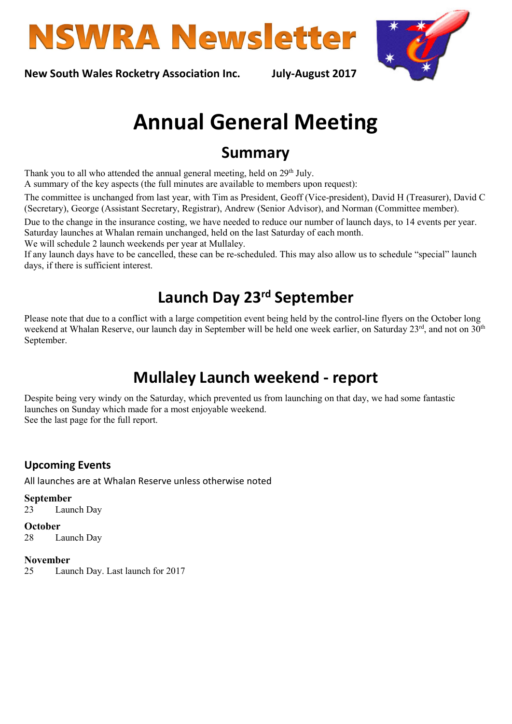



New South Wales Rocketry Association Inc. July-August 2017

# Annual General Meeting

# Summary

Thank you to all who attended the annual general meeting, held on 29<sup>th</sup> July.

A summary of the key aspects (the full minutes are available to members upon request):

The committee is unchanged from last year, with Tim as President, Geoff (Vice-president), David H (Treasurer), David C (Secretary), George (Assistant Secretary, Registrar), Andrew (Senior Advisor), and Norman (Committee member).

Due to the change in the insurance costing, we have needed to reduce our number of launch days, to 14 events per year. Saturday launches at Whalan remain unchanged, held on the last Saturday of each month.

We will schedule 2 launch weekends per year at Mullaley.

If any launch days have to be cancelled, these can be re-scheduled. This may also allow us to schedule "special" launch days, if there is sufficient interest.

# Launch Day 23rd September

Please note that due to a conflict with a large competition event being held by the control-line flyers on the October long weekend at Whalan Reserve, our launch day in September will be held one week earlier, on Saturday 23rd, and not on 30<sup>th</sup> September.

# Mullaley Launch weekend - report

Despite being very windy on the Saturday, which prevented us from launching on that day, we had some fantastic launches on Sunday which made for a most enjoyable weekend. See the last page for the full report.

### Upcoming Events

All launches are at Whalan Reserve unless otherwise noted

September 23 Launch Day

**October** 28 Launch Day

#### November

25 Launch Day. Last launch for 2017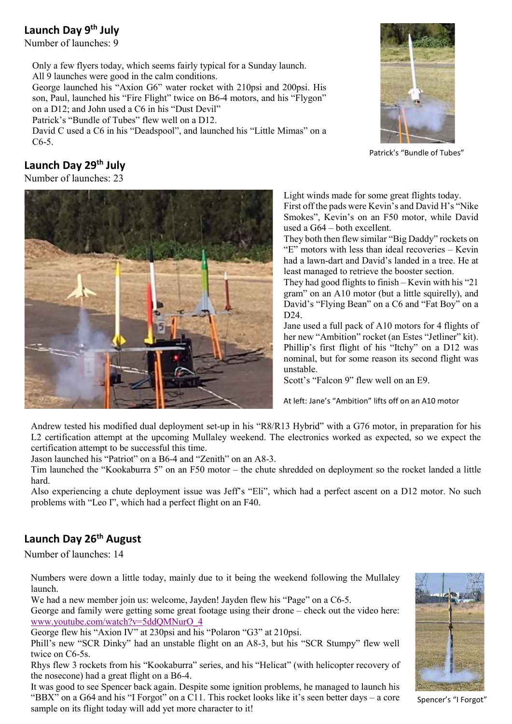### Launch Day 9<sup>th</sup> July

Number of launches: 9

Only a few flyers today, which seems fairly typical for a Sunday launch. All 9 launches were good in the calm conditions.

George launched his "Axion G6" water rocket with 210psi and 200psi. His son, Paul, launched his "Fire Flight" twice on B6-4 motors, and his "Flygon" on a D12; and John used a C6 in his "Dust Devil"

Patrick's "Bundle of Tubes" flew well on a D12.

David C used a C6 in his "Deadspool", and launched his "Little Mimas" on a C6-5.



Patrick's "Bundle of Tubes"

# Launch Day 29<sup>th</sup> July

Number of launches: 23



Light winds made for some great flights today. First off the pads were Kevin's and David H's "Nike Smokes", Kevin's on an F50 motor, while David used a G64 – both excellent.

They both then flew similar "Big Daddy" rockets on "E" motors with less than ideal recoveries – Kevin had a lawn-dart and David's landed in a tree. He at least managed to retrieve the booster section.

They had good flights to finish – Kevin with his "21 gram" on an A10 motor (but a little squirelly), and David's "Flying Bean" on a C6 and "Fat Boy" on a D24.

Jane used a full pack of A10 motors for 4 flights of her new "Ambition" rocket (an Estes "Jetliner" kit). Phillip's first flight of his "Itchy" on a D12 was nominal, but for some reason its second flight was unstable.

Scott's "Falcon 9" flew well on an E9.

At left: Jane's "Ambition" lifts off on an A10 motor

Andrew tested his modified dual deployment set-up in his "R8/R13 Hybrid" with a G76 motor, in preparation for his L2 certification attempt at the upcoming Mullaley weekend. The electronics worked as expected, so we expect the certification attempt to be successful this time.

Jason launched his "Patriot" on a B6-4 and "Zenith" on an A8-3.

Tim launched the "Kookaburra 5" on an F50 motor – the chute shredded on deployment so the rocket landed a little hard.

Also experiencing a chute deployment issue was Jeff's "Eli", which had a perfect ascent on a D12 motor. No such problems with "Leo I", which had a perfect flight on an F40.

# Launch Day 26<sup>th</sup> August

Number of launches: 14

Numbers were down a little today, mainly due to it being the weekend following the Mullaley launch.

We had a new member join us: welcome, Jayden! Jayden flew his "Page" on a C6-5.

George and family were getting some great footage using their drone – check out the video here: www.youtube.com/watch?v=5ddQMNurO\_4

George flew his "Axion IV" at 230psi and his "Polaron "G3" at 210psi.

Phill's new "SCR Dinky" had an unstable flight on an A8-3, but his "SCR Stumpy" flew well twice on C6-5s.

Rhys flew 3 rockets from his "Kookaburra" series, and his "Helicat" (with helicopter recovery of the nosecone) had a great flight on a B6-4.

It was good to see Spencer back again. Despite some ignition problems, he managed to launch his "BBX" on a G64 and his "I Forgot" on a C11. This rocket looks like it's seen better days – a core sample on its flight today will add yet more character to it!



Spencer's "I Forgot"